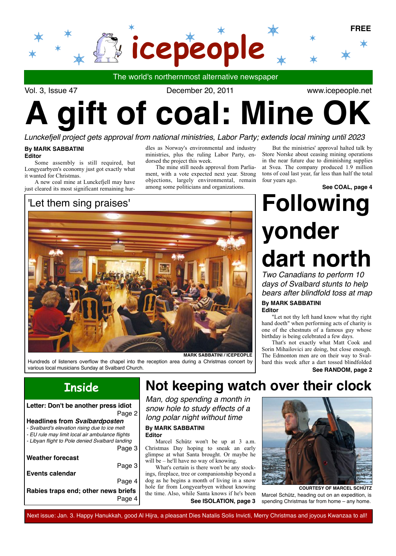

Vol. 3, Issue 47 December 20, 2011

www.icepeople.net

# **aift of coal: Mine O**

#### *Lunckefjell project gets approval from national ministries, Labor Party; extends local mining until 2023*

#### **By MARK SABBATINI Editor**

Some assembly is still required, but Longyearbyen's economy just got exactly what it wanted for Christmas.

A new coal mine at Lunckefjell may have just cleared its most significant remaining hur-

### 'Let them sing praises'

dles as Norway's environmental and industry ministries, plus the ruling Labor Party, endorsed the project this week.

The mine still needs approval from Parliament, with a vote expected next year. Strong objections, largely environmental, remain among some politicians and organizations.

But the ministries' approval halted talk by Store Norske about ceasing mining operations in the near future due to diminishing supplies at Svea. The company produced 1.9 million tons of coal last year, far less than half the total four years ago.

**See COAL, page 4**



**Page 4** Hundreds of listeners overflow the chapel into the reception area during a Christmas concert by various local musicians Sunday at Svalbard Church.

## *Two Canadians to perform 10*  **Following yonder dart north**

*days of Svalbard stunts to help bears after blindfold toss at map*

#### **By MARK SABBATINI Editor**

"Let not thy left hand know what thy right hand doeth" when performing acts of charity is one of the chestnuts of a famous guy whose birthday is being celebrated a few days.

That's not exactly what Matt Cook and Sorin Mihailovici are doing, but close enough. The Edmonton men are on their way to Svalbard this week after a dart tossed blindfolded

#### **See RANDOM, page 2**

## **Inside**

| Letter: Don't be another press idiot                                                               |  |
|----------------------------------------------------------------------------------------------------|--|
| Page 2                                                                                             |  |
| <b>Headlines from Svalbardposten</b>                                                               |  |
| - Svalbard's elevation rising due to ice melt                                                      |  |
| - EU rule may limit local air ambulance flights<br>- Libyan flight to Pole denied Svalbard landing |  |
| Page 3                                                                                             |  |
| <b>Weather forecast</b>                                                                            |  |
| Page 3                                                                                             |  |
| Events calendar                                                                                    |  |
| Page 4                                                                                             |  |
| Rabies traps end; other news briefs                                                                |  |
|                                                                                                    |  |

## **Not keeping watch over their clock**

*Man, dog spending a month in snow hole to study effects of a long polar night without time*

**By MARK SABBATINI Editor**

Marcel Schütz won't be up at 3 a.m. Christmas Day hoping to sneak an early glimpse at what Santa brought. Or maybe he will be – he'll have no way of knowing.

**See ISOLATION, page 3** What's certain is there won't be any stockings, fireplace, tree or companionship beyond a dog as he begins a month of living in a snow hole far from Longyearbyen without knowing the time. Also, while Santa knows if he's been



Marcel Schütz, heading out on an expedition, is spending Christmas far from home – any home. **COURTESY OF MARCEL SCHÜTZ**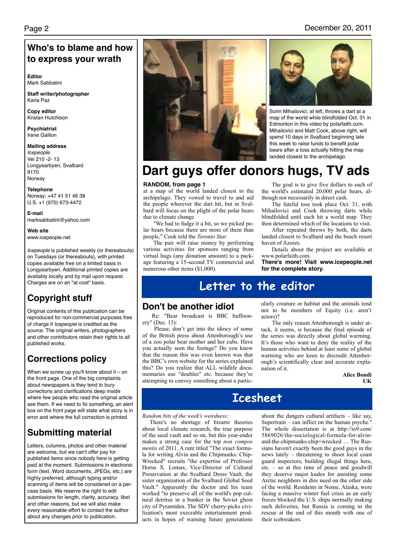### **Who's to blame and how to express your wrath**

**Editor** Mark Sabbatini

**Staff writer/photographer** Karla Paz

**Copy editor** Kristan Hutchison

**Psychiatrist** Irene Gallion

**Mailing address** *Icepeople* Vei 210 -2- 13 Longyearbyen, Svalbard 9170 Norway

**Telephone** Norway: +47 41 51 46 38 U.S. +1 (970) 673-4472

**E-mail** marksabbatini@yahoo.com

**Web site** www.icepeople.net

*Icepeople* is published weekly (or thereabouts) on Tuesdays (or thereabouts), with printed copies available free on a limited basis in Longyearbyen. Additional printed copies are availably locally and by mail upon request. Charges are on an "at cost" basis.

## **Copyright stuff**

Original contents of this publication can be reproduced for non-commercial purposes free of charge if *Icepeople* is credited as the source. The original writers, photographers and other contributors retain their rights to all published works.

## **Corrections policy**

When we screw up you'll know about it  $-$  on the front page. One of the big complaints about newspapers is they tend to bury corrections and clarifications deep inside where few people who read the original article see them. If we need to fix something, an alert box on the front page will state what story is in error and where the full correction is printed.

## **Submitting material**

Letters, columns, photos and other material are welcome, but we can't offer pay for published items since nobody here is getting paid at the moment. Submissions in electronic form (text, Word documents, JPEGs, etc.) are highly preferred, although typing and/or scanning of items will be considered on a percase basis. We reserve the right to edit submissions for length, clarity, accuracy, libel and other reasons, but we will also make every reasonable effort to contact the author about any changes prior to publication.



#### Page 2 December 20, 2011



Sorin Mihailovici, at left, throws a dart at a map of the world while blindfolded Oct. 31 in Edmonton in this video by polarfaith.com. Mihailovici and Matt Cook, above right, will spend 10 days in Svalbard beginning late this week to raise funds to benefit polar bears after a toss actually hitting the map landed closest to the archipelago.

## **Dart guys offer donors hugs, TV ads**

#### **RANDOM, from page 1**

at a map of the world landed closest to the archipelago. They vowed to travel to and aid the people wherever the dart hit, but in Svalbard will focus on the plight of the polar bears due to climate change.

"We had to fudge it a bit, so we picked polar bears because there are more of them than people," Cook told the *Toronto Star*.

The pair will raise money by performing various activities for sponsors ranging from virtual hugs (any donation amount) to a package featuring a 15-second TV commercial and numerous other items (\$1,000).

The goal is to give five dollars to each of the world's estimated 20,000 polar bears, although not necessarily in direct cash.

The fateful toss took place Oct. 31, with Mihailovici and Cook throwing darts while blindfolded until each hit a world map. They then determined which of the locations to visit.

After repeated throws by both, the darts landed closest to Svalbard and the beach resort haven of Azores.

Details about the project are available at www.polarfaith.com.

**There's more! Visit www.icepeople.net for the complete story.**

## **Letter to the editor**

#### **Don't be another idiot**

Re: "Bear broadcast is BBC buffoonery" (Dec. 13):

 Please, don't get into the idiocy of some of the British press about Attenborough's use of a zoo polar bear mother and her cubs. Have you actually seen the footage? Do you know that the reason this was even known was that the BBC's own website for the series explained this? Do you realize that ALL wildlife documentaries use "doubles" etc. because they're attempting to convey something about a particularly creature or habitat and the animals tend not to be members of Equity (i.e. aren't actors)?

 The only reason Attenborough is under attack, it seems, is because the final episode of the series was directly about global warming. It's those who want to deny the reality of the human activities behind at least some of global warming who are keen to discredit Attenborough's scientifically clear and accurate explanation of it.

**Alice Bondi UK**

## **Icesheet**

#### *Random bits of the week's weirdness:*

There's no shortage of bizarre theories about local climate research, the true purpose of the seed vault and so on, but this year-ender makes a strong case for the top *non compos mentis* of 2011. A rant titled "The exact formula for writing Alvin and the Chipmunks: Chip-Wrecked" recruits "the expertise of Professor Horus X. Lomax, Vice-Director of Cultural Preservation at the Svalbard Dross Vault, the sister organization of the Svalbard Global Seed Vault." Apparently the doctor and his team worked "to preserve all of the world's pop cultural detritus in a bunker in the Soviet ghost city of Pyramiden. The SDV cherry-picks civilization's most execrable entertainment products in hopes of warning future generations

about the dangers cultural artifacts – like say, Supertrain  $-$  can inflict on the human psyche. The whole dissertation is at http://io9.com/ 5869026/the-sociological-formula-for-alvinand-the-chipmunks-chip+wrecked … The Russians haven't exactly been the good guys in the news lately – threatening to shoot local coast guard inspectors, building illegal things here, etc. – so at this time of peace and goodwill they deserve major kudos for assisting some Arctic neighbors in dire need on the other side of the world. Residents in Nome, Alaska, were facing a massive winter fuel crisis as an early freeze blocked the U.S. ships normally making such deliveries, but Russia is coming to the rescue at the end of this month with one of their icebreakers.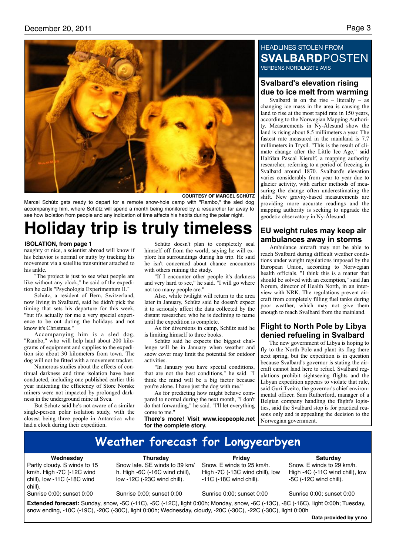

**COURTESY OF MARCEL SCHÜTZ**

Marcel Schütz gets ready to depart for a remote snow-hole camp with "Rambo," the sled dog accompanying him, where Schütz will spend a month being monitored by a researcher far away to see how isolation from people and any indication of time affects his habits during the polar night.

## **Holiday trip is truly timeless**

#### **ISOLATION, from page 1**

naughty or nice, a scientist abroad will know if his behavior is normal or nutty by tracking his movement via a satellite transmitter attached to his ankle.

"The project is just to see what people are like without any clock," he said of the expedition he calls "Psychologia Experimentum II."

Schütz, a resident of Bern, Switzerland, now living in Svalbard, said he didn't pick the timing that sets his departure for this week, "but it's actually for me a very special experience to be out during the holidays and not know it's Christmas."

Accompanying him is a sled dog, "Rambo," who will help haul about 200 kilograms of equipment and supplies to the expedition site about 30 kilometers from town. The dog will not be fitted with a movement tracker.

Numerous studies about the effects of continual darkness and time isolation have been conducted, including one published earlier this year indicating the efficiency of Store Norske miners were not impacted by prolonged darkness in the underground mine at Svea.

But Schütz said he's not aware of a similar single-person polar isolation study, with the closest being three people in Antarctica who had a clock during their expedition.

Schütz doesn't plan to completely seal himself off from the world, saying he will explore his surroundings during his trip. He said he isn't concerned about chance encounters with others ruining the study.

"If I encounter other people it's darkness and very hard to see," he said. "I will go where not too many people are."

Also, while twilight will return to the area later in January, Schütz said he doesn't expect it to seriously affect the data collected by the distant researcher, who he is declining to name until the expedition is complete.

As for diversions in camp, Schütz said he is limiting himself to three books.

Schütz said he expects the biggest challenge will be in January when weather and snow cover may limit the potential for outdoor activities.

"In January you have special conditions, that are not the best conditions," he said. "I think the mind will be a big factor because you're alone. I have just the dog with me."

As for predicting how might behave compared to normal during the next month, "I don't do that forwarding," he said. "I'll let everything come to me."

**There's more! Visit www.icepeople.net for the complete story.**

#### HEADLINES STOLEN FROM **SVALBARD**POSTEN VERDENS NORDLIGSTE AVIS

#### **Svalbard's elevation rising due to ice melt from warming**

Svalbard is on the rise – literally – as changing ice mass in the area is causing the land to rise at the most rapid rate in 150 years, according to the Norwegian Mapping Authority. Measurements in Ny-Ålesund show the land is rising about 8.5 millimeters a year. The fastest rate measured in the mainland is 7.7 millimeters in Trysil. "This is the result of climate change after the Little Ice Age," said Halfdan Pascal Kierulf, a mapping authority researcher, referring to a period of freezing in Svalbard around 1870. Svalbard's elevation varies considerably from year to year due to glacier activity, with earlier methods of measuring the change often underestimating the shift. New gravity-based measurements are providing more accurate readings and the mapping authority is seeking to upgrade the geodetic observatory in Ny-Ålesund.

#### **EU weight rules may keep air ambulances away in storms**

Ambulance aircraft may not be able to reach Svalbard during difficult weather conditions under weight regulations imposed by the European Union, according to Norwegian health officials. "I think this is a matter that should be solved with an exemption," said Jan Norum, director of Health North, in an interview with NRK. The regulations prevent aircraft from completely filling fuel tanks during poor weather, which may not give them enough to reach Svalbard from the mainland.

#### **Flight to North Pole by Libya denied refueling in Svalbard**

The new government of Libya is hoping to fly to the North Pole and plant its flag there next spring, but the expedition is in question because Svalbard's governor is stating the aircraft cannot land here to refuel. Svalbard regulations prohibit sightseeing flights and the Libyan expedition appears to violate that rule, said Guri Tveito, the governor's chief environmental officer. Sam Rutherford, manager of a Belgian company handling the flight's logistics, said the Svalbard stop is for practical reasons only and is appealing the decision to the Norwegian government.

## **Weather forecast for Longyearbyen**

#### **Wednesday**

Partly cloudy. S winds to 15 km/h. High -7C (-12C wind chill), low -11C (-18C wind chill).

Sunrise 0:00; sunset 0:00

**Thursday**

Snow late. SE winds to 39 km/ h. High -6C (-16C wind chill), low -12C (-23C wind chill).

Sunrise 0:00; sunset 0:00

Sunrise 0:00; sunset 0:00

-11C (-18C wind chill).

**Friday** Snow. E winds to 25 km/h. High -7C (-13C wind chill), low

Sunrise 0:00; sunset 0:00

-5C (-12C wind chill).

**Saturday** Snow. E winds to 29 km/h. High -4C (-11C wind chill), low

**Extended forecast:** Sunday, snow, -5C (-11C), -5C (-12C), light 0:00h; Monday, snow, -6C (-13C), -8C (-16C), light 0:00h; Tuesday, snow ending, -10C (-19C), -20C (-30C), light 0:00h; Wednesday, cloudy, -20C (-30C), -22C (-30C), light 0:00h

**Data provided by yr.no**